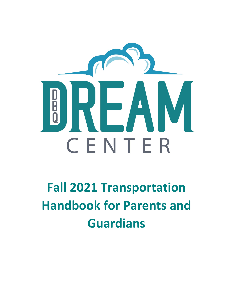

# **Fall 2021 Transportation Handbook for Parents and Guardians**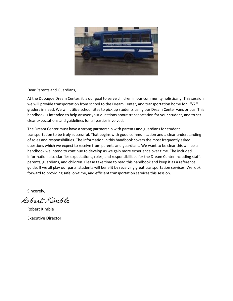

Dear Parents and Guardians,

At the Dubuque Dream Center, it is our goal to serve children in our community holistically. This session we will provide transportation from school to the Dream Center, and transportation home for 1st/2nd graders in need. We will utilize school sites to pick up students using our Dream Center vans or bus. This handbook is intended to help answer your questions about transportation for your student, and to set clear expectations and guidelines for all parties involved.

The Dream Center must have a strong partnership with parents and guardians for student transportation to be truly successful. That begins with good communication and a clear understanding of roles and responsibilities. The information in this handbook covers the most frequently asked questions which we expect to receive from parents and guardians. We want to be clear this will be a handbook we intend to continue to develop as we gain more experience over time. The included information also clarifies expectations, roles, and responsibilities for the Dream Center including staff, parents, guardians, and children. Please take time to read this handbook and keep it as a reference guide. If we all play our parts, students will benefit by receiving great transportation services. We look forward to providing safe, on-time, and efficient transportation services this session.

Sincerely,

Robert Kimble

Robert Kimble Executive Director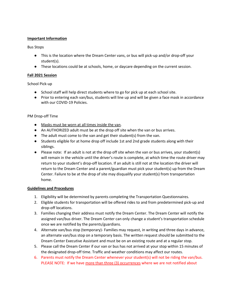#### **Important Information**

#### Bus Stops

- This is the location where the Dream Center vans, or bus will pick-up and/or drop-off your student(s).
- These locations could be at schools, home, or daycare depending on the current session.

#### **Fall 2021 Session**

#### School Pick-up

- School staff will help direct students where to go for pick up at each school site.
- Prior to entering each van/bus, students will line up and will be given a face mask in accordance with our COVID-19 Policies.

#### PM Drop-off Time

- Masks must be worn at all times inside the van.
- An AUTHORIZED adult must be at the drop off site when the van or bus arrives.
- The adult must come to the van and get their student(s) from the van.
- Students eligible for at home drop off include 1st and 2nd grade students along with their siblings.
- Please note: If an adult is not at the drop off site when the van or bus arrives, your student(s) will remain in the vehicle until the driver's route is complete, at which time the route driver may return to your student's drop-off location. If an adult is still not at the location the driver will return to the Dream Center and a parent/guardian must pick your student(s) up from the Dream Center. Failure to be at the drop of site may disqualify your student(s) from transportation home.

#### **Guidelines and Procedures**

- 1. Eligibility will be determined by parents completing the Transportation Questionnaires.
- 2. Eligible students for transportation will be offered rides to and from predetermined pick-up and drop-off locations.
- 3. Families changing their address must notify the Dream Center. The Dream Center will notify the assigned van/bus driver. The Dream Center can only change a student's transportation schedule once we are notified by the parents/guardians.
- 4. Alternate van/bus stop (temporary)- Families may request, in writing and three days in advance, an alternate van/bus stop on a temporary basis. The written request should be submitted to the Dream Center Executive Assistant and must be on an existing route and at a regular stop.
- 5. Please call the Dream Center if our van or bus has not arrived at your stop within 15 minutes of the designated drop-off time. Traffic and weather conditions may affect our routes.
- 6. Parents must notify the Dream Center whenever your student(s) will not be riding the van/bus. PLEASE NOTE: If we have more than three (3) occurrences where we are not notified about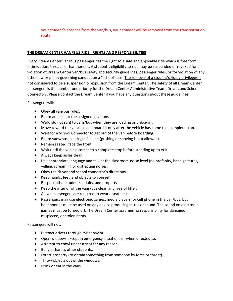your student's absence from the van/bus, your student will be removed from the transportation route.

#### **THE DREAM CENTER VAN/BUS RIDE: RIGHTS AND RESPONSIBILITIES**

Every Dream Center van/bus passenger has the right to a safe and enjoyable ride which is free from intimidation, threats, or harassment. A student's eligibility to ride may be suspended or revoked for a violation of Dream Center van/bus safety and security guidelines, passenger rules, or for violation of any other law or policy governing conduct on a "school" bus. The removal of a student's riding privileges is not considered to be a suspension or expulsion from the Dream Center. The safety of all Dream Center passengers is the number one priority for the Dream Center Administrative Team, Driver, and School Connectors. Please contact the Dream Center if you have any questions about these guidelines.

Passengers will:

- Obey all van/bus rules.
- Board and exit at the assigned locations.
- Walk (do not run) to vans/bus when they are loading or unloading.
- Move toward the van/bus and board it only after the vehicle has come to a complete stop.
- Wait for a School Connector to get out of the van before boarding.
- Board vans/bus in a single file line (pushing or shoving is not allowed).
- Remain seated, face the front.
- Wait until the vehicle comes to a complete stop before standing up to exit.
- Always keep aisles clear.
- Use appropriate language and talk at the classroom-noise level (no profanity, hand gestures, yelling, screaming or distracting noises.
- Obey the driver and school connector's directions.
- Keep hands, feet, and objects to yourself.
- Respect other students, adults, and property.
- Keep the interior of the vans/bus clean and free of litter.
- All van passengers are required to wear a seat belt.
- Passengers may use electronic games, media players, or cell phone in the van/bus, but headphones must be used on any device producing music or sound. The sound on electronic games must be turned off. The Dream Center assumes no responsibility for damaged, misplaced, or stolen items.

Passengers will not:

- Distract drivers through misbehavior.
- Open windows except in emergency situations or when directed to.
- Attempt to crawl under a seat for any reason.
- Bully or harass other students.
- Extort property (to obtain something from someone by force or threat).
- Throw objects out of the windows.
- Drink or eat in the vans.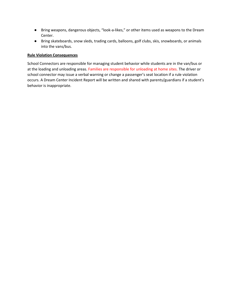- Bring weapons, dangerous objects, "look-a-likes," or other items used as weapons to the Dream Center.
- Bring skateboards, snow sleds, trading cards, balloons, golf clubs, skis, snowboards, or animals into the vans/bus.

#### **Rule Violation Consequences**

School Connectors are responsible for managing student behavior while students are in the van/bus or at the loading and unloading areas. Families are responsible for unloading at home sites. The driver or school connector may issue a verbal warning or change a passenger's seat location if a rule violation occurs. A Dream Center Incident Report will be written and shared with parents/guardians if a student's behavior is inappropriate.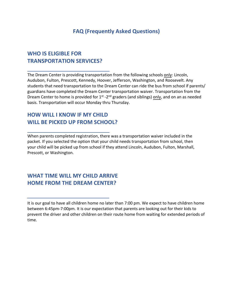## **FAQ (Frequently Asked Questions)**

## **WHO IS ELIGIBLE FOR TRANSPORTATION SERVICES?**

The Dream Center is providing transportation from the following schools only: Lincoln, Audubon, Fulton, Prescott, Kennedy, Hoover, Jefferson, Washington, and Roosevelt. Any students that need transportation to the Dream Center can ride the bus from school if parents/ guardians have completed the Dream Center transportation waiver. Transportation from the Dream Center to home is provided for  $1^{st}$  -2<sup>nd</sup> graders (and siblings) only, and on an as needed basis. Transportation will occur Monday thru Thursday.

## **HOW WILL I KNOW IF MY CHILD WILL BE PICKED UP FROM SCHOOL?**

When parents completed registration, there was a transportation waiver included in the packet. If you selected the option that your child needs transportation from school, then your child will be picked up from school if they attend Lincoln, Audubon, Fulton, Marshall, Prescott, or Washington.

## **WHAT TIME WILL MY CHILD ARRIVE HOME FROM THE DREAM CENTER?**

It is our goal to have all children home no later than 7:00 pm. We expect to have children home between 6:45pm-7:00pm. It is our expectation that parents are looking out for their kids to prevent the driver and other children on their route home from waiting for extended periods of time.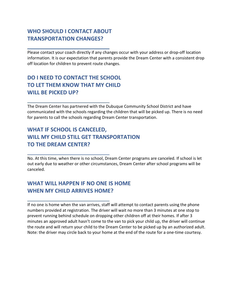## **WHO SHOULD I CONTACT ABOUT TRANSPORTATION CHANGES?**

Please contact your coach directly if any changes occur with your address or drop-off location information. It is our expectation that parents provide the Dream Center with a consistent drop off location for children to prevent route changes.

# **DO I NEED TO CONTACT THE SCHOOL TO LET THEM KNOW THAT MY CHILD WILL BE PICKED UP?**

The Dream Center has partnered with the Dubuque Community School District and have communicated with the schools regarding the children that will be picked up. There is no need for parents to call the schools regarding Dream Center transportation.

# **WHAT IF SCHOOL IS CANCELED, WILL MY CHILD STILL GET TRANSPORTATION TO THE DREAM CENTER?**

No. At this time, when there is no school, Dream Center programs are canceled. If school is let out early due to weather or other circumstances, Dream Center after school programs will be canceled.

# **WHAT WILL HAPPEN IF NO ONE IS HOME WHEN MY CHILD ARRIVES HOME?**

If no one is home when the van arrives, staff will attempt to contact parents using the phone numbers provided at registration. The driver will wait no more than 3 minutes at one stop to prevent running behind schedule on dropping other children off at their homes. If after 3 minutes an approved adult hasn't come to the van to pick your child up, the driver will continue the route and will return your child to the Dream Center to be picked up by an authorized adult. Note: the driver may circle back to your home at the end of the route for a one-time courtesy.